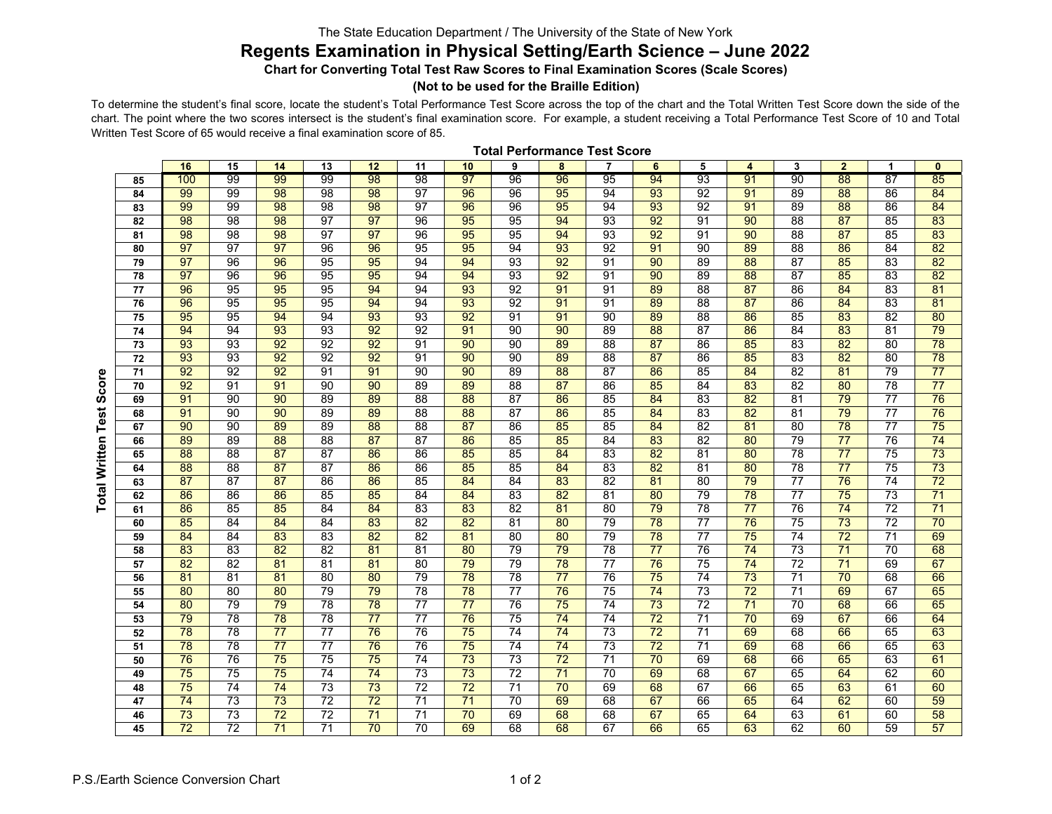## The State Education Department / The University of the State of New York

## **Regents Examination in Physical Setting/Earth Science – June 2022**

**Chart for Converting Total Test Raw Scores to Final Examination Scores (Scale Scores)**

## **(Not to be used for the Braille Edition)**

To determine the student's final score, locate the student's Total Performance Test Score across the top of the chart and the Total Written Test Score down the side of the chart. The point where the two scores intersect is the student's final examination score. For example, <sup>a</sup> student receiving <sup>a</sup> Total Performance Test Score of 10 and Total Written Test Score of 65 would receive a final examination score of 85.

|          | 16              | 15              | 14              | 13              | 12              | 11              | 10              | 9               | 8               | $\overline{\mathbf{r}}$ | 6               | 5               | 4               | 3               | $\mathbf{2}$    | 1               | 0               |
|----------|-----------------|-----------------|-----------------|-----------------|-----------------|-----------------|-----------------|-----------------|-----------------|-------------------------|-----------------|-----------------|-----------------|-----------------|-----------------|-----------------|-----------------|
| 85       | 100             | 99              | 99              | 99              | 98              | 98              | 97              | 96              | 96              | 95                      | 94              | 93              | 91              | 90              | 88              | 87              | 85              |
| 84       | 99              | 99              | 98              | 98              | 98              | $\overline{97}$ | 96              | 96              | 95              | 94                      | 93              | 92              | 91              | 89              | 88              | 86              | 84              |
| 83       | 99              | 99              | $\overline{98}$ | 98              | 98              | 97              | 96              | 96              | 95              | 94                      | $\overline{93}$ | 92              | 91              | 89              | 88              | 86              | 84              |
| 82       | 98              | 98              | $\overline{98}$ | 97              | 97              | $\overline{96}$ | 95              | 95              | 94              | $\overline{93}$         | $\overline{92}$ | 91              | 90              | $\overline{88}$ | 87              | 85              | 83              |
| 81       | 98              | 98              | 98              | $\overline{97}$ | $\overline{97}$ | 96              | 95              | 95              | 94              | 93                      | 92              | 91              | 90              | 88              | 87              | 85              | 83              |
| 80       | 97              | 97              | 97              | 96              | 96              | 95              | 95              | 94              | 93              | 92                      | 91              | 90              | 89              | 88              | 86              | 84              | 82              |
| 79       | $\overline{97}$ | 96              | 96              | 95              | 95              | 94              | 94              | 93              | 92              | 91                      | 90              | 89              | 88              | 87              | 85              | 83              | 82              |
| 78       | 97              | 96              | 96              | 95              | 95              | 94              | 94              | 93              | 92              | 91                      | 90              | 89              | 88              | $\overline{87}$ | 85              | 83              | 82              |
| 77       | 96              | 95              | 95              | 95              | 94              | 94              | 93              | 92              | 91              | 91                      | 89              | 88              | 87              | 86              | 84              | 83              | 81              |
| 76       | 96              | 95              | 95              | 95              | 94              | 94              | $\overline{93}$ | 92              | 91              | 91                      | 89              | $\overline{88}$ | 87              | 86              | 84              | 83              | 81              |
| 75       | 95              | 95              | 94              | 94              | 93              | 93              | 92              | 91              | 91              | 90                      | 89              | 88              | 86              | 85              | 83              | 82              | 80              |
| 74       | 94              | 94              | 93              | 93              | 92              | 92              | 91              | 90              | 90              | 89                      | $\overline{88}$ | 87              | 86              | 84              | 83              | 81              | $\overline{79}$ |
| 73       | 93              | 93              | $\overline{92}$ | 92              | 92              | 91              | 90              | 90              | 89              | 88                      | 87              | 86              | 85              | 83              | 82              | 80              | $\overline{78}$ |
| 72       | 93              | 93              | 92              | 92              | 92              | 91              | 90              | 90              | 89              | $\overline{88}$         | 87              | 86              | 85              | 83              | 82              | 80              | $\overline{78}$ |
| $\bf 71$ | $\overline{92}$ | 92              | $\overline{92}$ | 91              | 91              | $\overline{90}$ | $\overline{90}$ | 89              | 88              | 87                      | 86              | 85              | 84              | 82              | 81              | 79              | $\overline{77}$ |
| 70       | $\overline{92}$ | 91              | $\overline{91}$ | $\overline{90}$ | 90              | 89              | 89              | $\overline{88}$ | 87              | 86                      | 85              | 84              | 83              | 82              | 80              | 78              | $\overline{77}$ |
| 69       | 91              | 90              | $\overline{90}$ | 89              | 89              | $\overline{88}$ | 88              | $\overline{87}$ | 86              | 85                      | 84              | 83              | 82              | 81              | $\overline{79}$ | $\overline{77}$ | $\overline{76}$ |
| 68       | 91              | 90              | 90              | 89              | 89              | 88              | 88              | $\overline{87}$ | 86              | 85                      | 84              | 83              | 82              | 81              | $\overline{79}$ | $\overline{77}$ | $\overline{76}$ |
| 67       | 90              | 90              | 89              | 89              | 88              | 88              | 87              | 86              | 85              | 85                      | 84              | 82              | 81              | 80              | 78              | $\overline{77}$ | 75              |
| 66       | 89              | 89              | 88              | $\overline{88}$ | 87              | 87              | 86              | 85              | 85              | 84                      | 83              | $\overline{82}$ | 80              | 79              | $\overline{77}$ | $\overline{76}$ | $\overline{74}$ |
| 65       | 88              | 88              | 87              | 87              | 86              | 86              | 85              | 85              | 84              | 83                      | 82              | 81              | 80              | 78              | $\overline{77}$ | 75              | 73              |
| 64       | 88              | 88              | 87              | 87              | 86              | 86              | 85              | 85              | 84              | 83                      | 82              | 81              | 80              | 78              | $\overline{77}$ | 75              | 73              |
| 63       | 87              | 87              | 87              | 86              | 86              | 85              | 84              | 84              | 83              | 82                      | 81              | 80              | 79              | $\overline{77}$ | $\overline{76}$ | $\overline{74}$ | $\overline{72}$ |
| 62       | 86              | 86              | 86              | 85              | 85              | 84              | 84              | 83              | 82              | 81                      | 80              | 79              | $\overline{78}$ | $\overline{77}$ | $\overline{75}$ | 73              | $\overline{71}$ |
| 61       | 86              | 85              | 85              | 84              | $\overline{84}$ | 83              | 83              | $\overline{82}$ | 81              | 80                      | $\overline{79}$ | 78              | $\overline{77}$ | $\overline{76}$ | $\overline{74}$ | $\overline{72}$ | $\overline{71}$ |
| 60       | 85              | 84              | 84              | 84              | 83              | $\overline{82}$ | 82              | 81              | 80              | 79                      | $\overline{78}$ | $\overline{77}$ | 76              | 75              | $\overline{73}$ | $\overline{72}$ | $\overline{70}$ |
| 59       | 84              | 84              | 83              | 83              | 82              | 82              | 81              | 80              | 80              | 79                      | $\overline{78}$ | $\overline{77}$ | 75              | $\overline{74}$ | $\overline{72}$ | $\overline{71}$ | 69              |
| 58       | 83              | 83              | 82              | $\overline{82}$ | 81              | 81              | 80              | 79              | $\overline{79}$ | 78                      | $\overline{77}$ | 76              | $\overline{74}$ | 73              | $\overline{71}$ | 70              | 68              |
| 57       | 82              | 82              | 81              | 81              | 81              | 80              | 79              | 79              | $\overline{78}$ | $\overline{77}$         | $\overline{76}$ | 75              | $\overline{74}$ | $\overline{72}$ | $\overline{71}$ | 69              | 67              |
| 56       | 81              | 81              | 81              | 80              | 80              | 79              | 78              | 78              | $\overline{77}$ | 76                      | $\overline{75}$ | 74              | $\overline{73}$ | $\overline{71}$ | $\overline{70}$ | 68              | 66              |
| 55       | 80              | 80              | 80              | 79              | 79              | $\overline{78}$ | 78              | $\overline{77}$ | $\overline{76}$ | 75                      | $\overline{74}$ | 73              | $\overline{72}$ | $\overline{71}$ | 69              | 67              | 65              |
| 54       | 80              | 79              | $\overline{79}$ | 78              | 78              | $\overline{77}$ | $\overline{77}$ | $\overline{76}$ | $\overline{75}$ | $\overline{74}$         | $\overline{73}$ | $\overline{72}$ | $\overline{71}$ | $\overline{70}$ | 68              | 66              | 65              |
| 53       | $\overline{79}$ | 78              | $\overline{78}$ | 78              | $\overline{77}$ | $\overline{77}$ | $\overline{76}$ | 75              | $\overline{74}$ | 74                      | $\overline{72}$ | 71              | 70              | 69              | 67              | 66              | 64              |
| 52       | $\overline{78}$ | 78              | $\overline{77}$ | $\overline{77}$ | 76              | 76              | $\overline{75}$ | $\overline{74}$ | $\overline{74}$ | 73                      | $\overline{72}$ | $\overline{71}$ | 69              | 68              | 66              | 65              | 63              |
| 51       | $\overline{78}$ | 78              | $\overline{77}$ | $\overline{77}$ | $\overline{76}$ | $\overline{76}$ | $\overline{75}$ | $\overline{74}$ | $\overline{74}$ | 73                      | $\overline{72}$ | $\overline{71}$ | 69              | 68              | 66              | 65              | 63              |
| 50       | $\overline{76}$ | 76              | $\overline{75}$ | $\overline{75}$ | $\overline{75}$ | $\overline{74}$ | $\overline{73}$ | 73              | $\overline{72}$ | $\overline{71}$         | $\overline{70}$ | 69              | 68              | 66              | 65              | 63              | 61              |
| 49       | $\overline{75}$ | $\overline{75}$ | $\overline{75}$ | $\overline{74}$ | $\overline{74}$ | $\overline{73}$ | $\overline{73}$ | $\overline{72}$ | $\overline{71}$ | $\overline{70}$         | 69              | 68              | 67              | 65              | 64              | 62              | 60              |
| 48       | $\overline{75}$ | 74              | 74              | 73              | 73              | 72              | $\overline{72}$ | 71              | 70              | 69                      | 68              | 67              | 66              | 65              | 63              | 61              | 60              |
| 47       | 74              | 73              | 73              | $\overline{72}$ | $\overline{72}$ | 71              | 71              | $\overline{70}$ | 69              | 68                      | 67              | 66              | 65              | 64              | 62              | 60              | 59              |
| 46       | $\overline{73}$ | 73              | $\overline{72}$ | 72              | $\overline{71}$ | $\overline{71}$ | 70              | 69              | 68              | 68                      | 67              | 65              | 64              | 63              | 61              | 60              | 58              |
| 45       | $\overline{72}$ | $\overline{72}$ | $\overline{71}$ | $\overline{71}$ | $\overline{70}$ | $\overline{70}$ | 69              | 68              | 68              | 67                      | 66              | 65              | 63              | 62              | 60              | 59              | $\overline{57}$ |

**Total Performance Test Score**